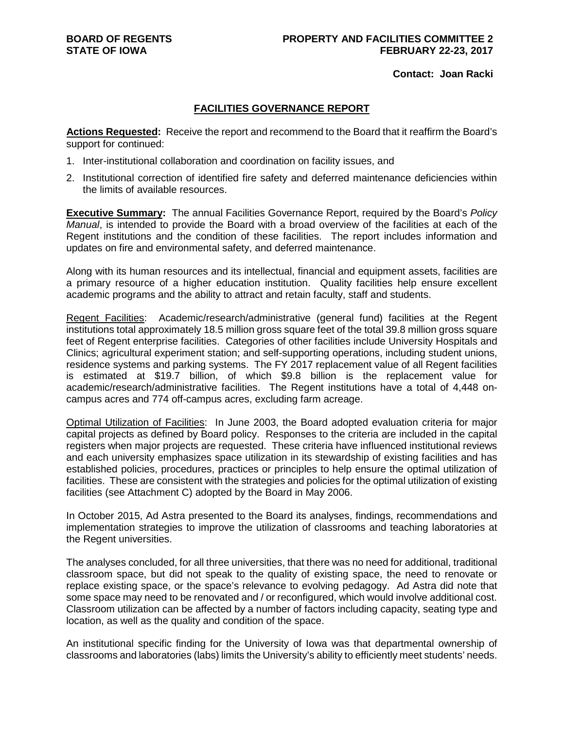## **Contact: Joan Racki**

## **FACILITIES GOVERNANCE REPORT**

**Actions Requested:** Receive the report and recommend to the Board that it reaffirm the Board's support for continued:

- 1. Inter-institutional collaboration and coordination on facility issues, and
- 2. Institutional correction of identified fire safety and deferred maintenance deficiencies within the limits of available resources.

**Executive Summary:** The annual Facilities Governance Report, required by the Board's *Policy Manual*, is intended to provide the Board with a broad overview of the facilities at each of the Regent institutions and the condition of these facilities. The report includes information and updates on fire and environmental safety, and deferred maintenance.

Along with its human resources and its intellectual, financial and equipment assets, facilities are a primary resource of a higher education institution. Quality facilities help ensure excellent academic programs and the ability to attract and retain faculty, staff and students.

Regent Facilities: Academic/research/administrative (general fund) facilities at the Regent institutions total approximately 18.5 million gross square feet of the total 39.8 million gross square feet of Regent enterprise facilities. Categories of other facilities include University Hospitals and Clinics; agricultural experiment station; and self-supporting operations, including student unions, residence systems and parking systems. The FY 2017 replacement value of all Regent facilities is estimated at \$19.7 billion, of which \$9.8 billion is the replacement value for academic/research/administrative facilities. The Regent institutions have a total of 4,448 oncampus acres and 774 off-campus acres, excluding farm acreage.

Optimal Utilization of Facilities: In June 2003, the Board adopted evaluation criteria for major capital projects as defined by Board policy. Responses to the criteria are included in the capital registers when major projects are requested. These criteria have influenced institutional reviews and each university emphasizes space utilization in its stewardship of existing facilities and has established policies, procedures, practices or principles to help ensure the optimal utilization of facilities. These are consistent with the strategies and policies for the optimal utilization of existing facilities (see Attachment C) adopted by the Board in May 2006.

In October 2015, Ad Astra presented to the Board its analyses, findings, recommendations and implementation strategies to improve the utilization of classrooms and teaching laboratories at the Regent universities.

The analyses concluded, for all three universities, that there was no need for additional, traditional classroom space, but did not speak to the quality of existing space, the need to renovate or replace existing space, or the space's relevance to evolving pedagogy. Ad Astra did note that some space may need to be renovated and / or reconfigured, which would involve additional cost. Classroom utilization can be affected by a number of factors including capacity, seating type and location, as well as the quality and condition of the space.

An institutional specific finding for the University of Iowa was that departmental ownership of classrooms and laboratories (labs) limits the University's ability to efficiently meet students' needs.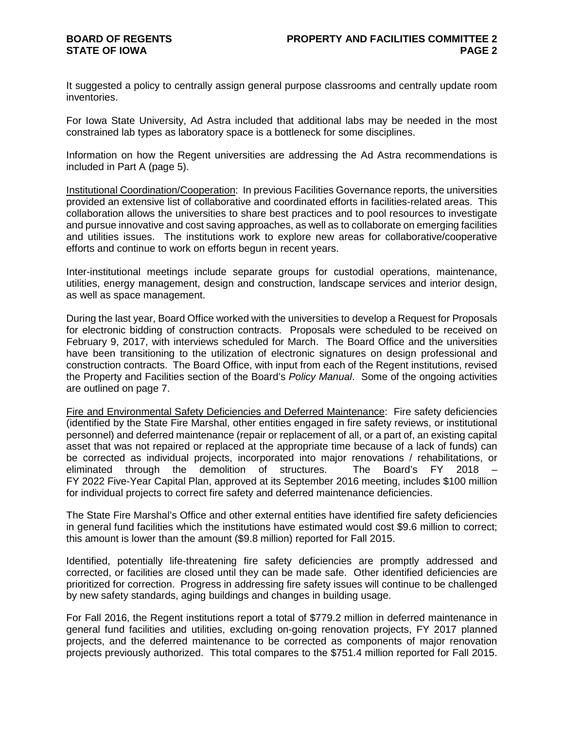It suggested a policy to centrally assign general purpose classrooms and centrally update room inventories.

For Iowa State University, Ad Astra included that additional labs may be needed in the most constrained lab types as laboratory space is a bottleneck for some disciplines.

Information on how the Regent universities are addressing the Ad Astra recommendations is included in Part A (page 5).

Institutional Coordination/Cooperation: In previous Facilities Governance reports, the universities provided an extensive list of collaborative and coordinated efforts in facilities-related areas. This collaboration allows the universities to share best practices and to pool resources to investigate and pursue innovative and cost saving approaches, as well as to collaborate on emerging facilities and utilities issues. The institutions work to explore new areas for collaborative/cooperative efforts and continue to work on efforts begun in recent years.

Inter-institutional meetings include separate groups for custodial operations, maintenance, utilities, energy management, design and construction, landscape services and interior design, as well as space management.

During the last year, Board Office worked with the universities to develop a Request for Proposals for electronic bidding of construction contracts. Proposals were scheduled to be received on February 9, 2017, with interviews scheduled for March. The Board Office and the universities have been transitioning to the utilization of electronic signatures on design professional and construction contracts. The Board Office, with input from each of the Regent institutions, revised the Property and Facilities section of the Board's *Policy Manual*. Some of the ongoing activities are outlined on page 7.

Fire and Environmental Safety Deficiencies and Deferred Maintenance: Fire safety deficiencies (identified by the State Fire Marshal, other entities engaged in fire safety reviews, or institutional personnel) and deferred maintenance (repair or replacement of all, or a part of, an existing capital asset that was not repaired or replaced at the appropriate time because of a lack of funds) can be corrected as individual projects, incorporated into major renovations / rehabilitations, or eliminated through the demolition of structures. The Board's FY 2018 – eliminated through the demolition of structures. The Board's FY 2018 – FY 2022 Five-Year Capital Plan, approved at its September 2016 meeting, includes \$100 million for individual projects to correct fire safety and deferred maintenance deficiencies.

The State Fire Marshal's Office and other external entities have identified fire safety deficiencies in general fund facilities which the institutions have estimated would cost \$9.6 million to correct; this amount is lower than the amount (\$9.8 million) reported for Fall 2015.

Identified, potentially life-threatening fire safety deficiencies are promptly addressed and corrected, or facilities are closed until they can be made safe. Other identified deficiencies are prioritized for correction. Progress in addressing fire safety issues will continue to be challenged by new safety standards, aging buildings and changes in building usage.

For Fall 2016, the Regent institutions report a total of \$779.2 million in deferred maintenance in general fund facilities and utilities, excluding on-going renovation projects, FY 2017 planned projects, and the deferred maintenance to be corrected as components of major renovation projects previously authorized. This total compares to the \$751.4 million reported for Fall 2015.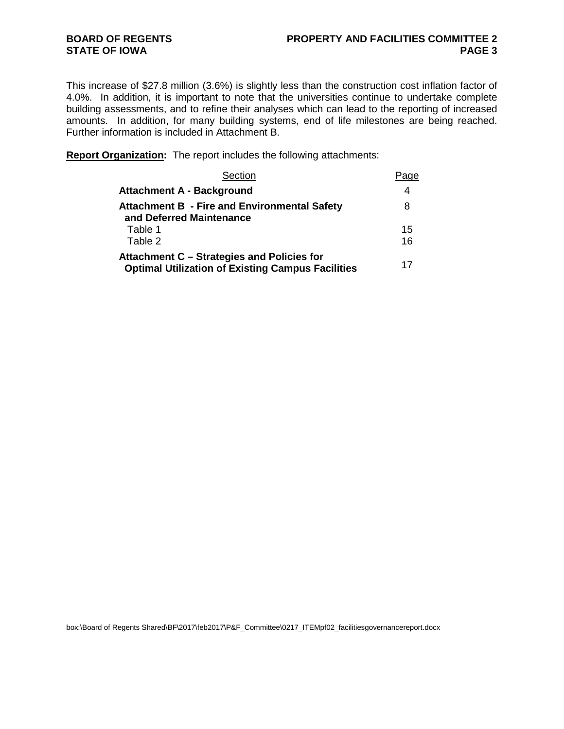This increase of \$27.8 million (3.6%) is slightly less than the construction cost inflation factor of 4.0%. In addition, it is important to note that the universities continue to undertake complete building assessments, and to refine their analyses which can lead to the reporting of increased amounts. In addition, for many building systems, end of life milestones are being reached. Further information is included in Attachment B.

**Report Organization:** The report includes the following attachments:

| Section                                                                                                | Page |
|--------------------------------------------------------------------------------------------------------|------|
| <b>Attachment A - Background</b>                                                                       | 4    |
| <b>Attachment B - Fire and Environmental Safety</b><br>and Deferred Maintenance                        | 8    |
| Table 1                                                                                                | 15   |
| Table 2                                                                                                | 16   |
| Attachment C – Strategies and Policies for<br><b>Optimal Utilization of Existing Campus Facilities</b> | 17   |

box:\Board of Regents Shared\BF\2017\feb2017\P&F\_Committee\0217\_ITEMpf02\_facilitiesgovernancereport.docx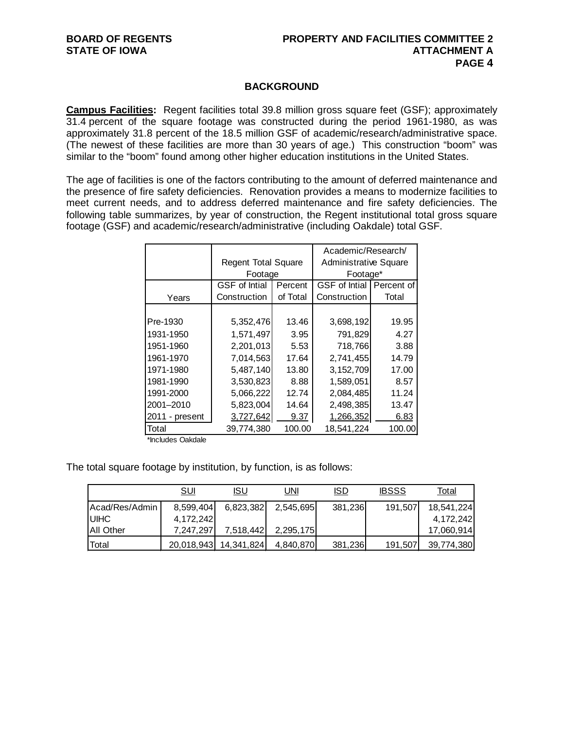## **BACKGROUND**

**Campus Facilities:** Regent facilities total 39.8 million gross square feet (GSF); approximately 31.4 percent of the square footage was constructed during the period 1961-1980, as was approximately 31.8 percent of the 18.5 million GSF of academic/research/administrative space. (The newest of these facilities are more than 30 years of age.) This construction "boom" was similar to the "boom" found among other higher education institutions in the United States.

The age of facilities is one of the factors contributing to the amount of deferred maintenance and the presence of fire safety deficiencies. Renovation provides a means to modernize facilities to meet current needs, and to address deferred maintenance and fire safety deficiencies. The following table summarizes, by year of construction, the Regent institutional total gross square footage (GSF) and academic/research/administrative (including Oakdale) total GSF.

|                |                            |          | Academic/Research/           |            |  |  |  |  |  |  |
|----------------|----------------------------|----------|------------------------------|------------|--|--|--|--|--|--|
|                | <b>Regent Total Square</b> |          | <b>Administrative Square</b> |            |  |  |  |  |  |  |
|                | Footage                    |          | Footage*                     |            |  |  |  |  |  |  |
|                | <b>GSF</b> of Intial       | Percent  | <b>GSF</b> of Intial         | Percent of |  |  |  |  |  |  |
| Years          | Construction               | of Total | Construction                 | Total      |  |  |  |  |  |  |
|                |                            |          |                              |            |  |  |  |  |  |  |
| Pre-1930       | 5,352,476                  | 13.46    | 3,698,192                    | 19.95      |  |  |  |  |  |  |
| 1931-1950      | 1,571,497                  | 3.95     | 791,829                      | 4.27       |  |  |  |  |  |  |
| 1951-1960      | 2,201,013                  | 5.53     | 718,766                      | 3.88       |  |  |  |  |  |  |
| 1961-1970      | 7,014,563                  | 17.64    | 2,741,455                    | 14.79      |  |  |  |  |  |  |
| 1971-1980      | 5,487,140                  | 13.80    | 3, 152, 709                  | 17.00      |  |  |  |  |  |  |
| 1981-1990      | 3,530,823                  | 8.88     | 1,589,051                    | 8.57       |  |  |  |  |  |  |
| 1991-2000      | 5,066,222                  | 12.74    | 2,084,485                    | 11.24      |  |  |  |  |  |  |
| 2001-2010      | 5,823,004                  | 14.64    | 2,498,385                    | 13.47      |  |  |  |  |  |  |
| 2011 - present | 3,727,642                  | 9.37     | 1,266,352                    | 6.83       |  |  |  |  |  |  |
| Total          | 39,774,380                 | 100.00   | 18.541.224                   | 100.00     |  |  |  |  |  |  |

\*Includes Oakdale

The total square footage by institution, by function, is as follows:

|                   | SUI       | <u>ISU</u>            | UNI       | ISD     | <b>IBSSS</b> | Total      |
|-------------------|-----------|-----------------------|-----------|---------|--------------|------------|
| IAcad/Res/Admin   | 8,599,404 | 6,823,382             | 2,545,695 | 381,236 | 191,507      | 18,541,224 |
| <b>IUIHC</b>      | 4,172,242 |                       |           |         |              | 4,172,242  |
| <b>JAII Other</b> | 7,247,297 | 7,518,442             | 2,295,175 |         |              | 17,060,914 |
| Total             |           | 20,018,943 14,341,824 | 4,840,870 | 381,236 | 191,507      | 39,774,380 |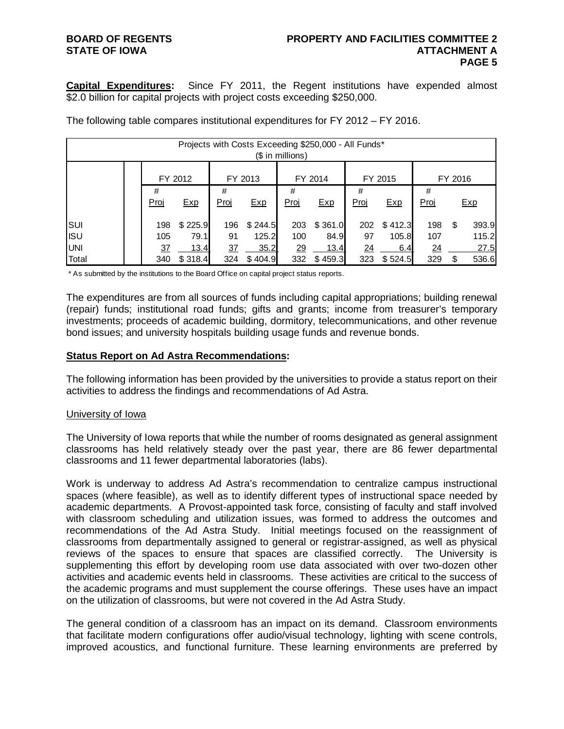# **STATE OF IOWA**

**Capital Expenditures:** Since FY 2011, the Regent institutions have expended almost \$2.0 billion for capital projects with project costs exceeding \$250,000.

| Projects with Costs Exceeding \$250,000 - All Funds*<br>$$$ in millions) |  |      |         |      |         |      |         |                 |         |      |         |       |  |
|--------------------------------------------------------------------------|--|------|---------|------|---------|------|---------|-----------------|---------|------|---------|-------|--|
|                                                                          |  |      | FY 2012 |      | FY 2013 |      | FY 2014 |                 | FY 2015 |      | FY 2016 |       |  |
|                                                                          |  | #    |         | #    |         | #    |         | #               |         | #    |         |       |  |
|                                                                          |  | Proj | Exp     | Proj | Exp     | Proj | Exp     | Proj            | Exp     | Proj |         | Exp   |  |
| SUI                                                                      |  | 198  | \$225.9 | 196  | \$244.5 | 203  | \$361.0 | 202             | \$412.3 | 198  | \$.     | 393.9 |  |
| <b>ISU</b>                                                               |  | 105  | 79.1    | 91   | 125.2   | 100  | 84.9    | 97              | 105.8   | 107  |         | 115.2 |  |
| <b>UNI</b>                                                               |  | 37   | 13.4    | 37   | 35.2    | 29   | 13.4    | $\overline{24}$ | 6.4     | 24   |         | 27.5  |  |
| Total                                                                    |  | 340  | \$318.4 | 324  | \$404.9 | 332  | \$459.3 | 323             | \$524.5 | 329  | \$.     | 536.6 |  |

The following table compares institutional expenditures for FY 2012 – FY 2016.

\* As submitted by the institutions to the Board Office on capital project status reports.

The expenditures are from all sources of funds including capital appropriations; building renewal (repair) funds; institutional road funds; gifts and grants; income from treasurer's temporary investments; proceeds of academic building, dormitory, telecommunications, and other revenue bond issues; and university hospitals building usage funds and revenue bonds.

## **Status Report on Ad Astra Recommendations:**

The following information has been provided by the universities to provide a status report on their activities to address the findings and recommendations of Ad Astra.

## University of Iowa

The University of Iowa reports that while the number of rooms designated as general assignment classrooms has held relatively steady over the past year, there are 86 fewer departmental classrooms and 11 fewer departmental laboratories (labs).

Work is underway to address Ad Astra's recommendation to centralize campus instructional spaces (where feasible), as well as to identify different types of instructional space needed by academic departments. A Provost-appointed task force, consisting of faculty and staff involved with classroom scheduling and utilization issues, was formed to address the outcomes and recommendations of the Ad Astra Study. Initial meetings focused on the reassignment of classrooms from departmentally assigned to general or registrar-assigned, as well as physical reviews of the spaces to ensure that spaces are classified correctly. The University is supplementing this effort by developing room use data associated with over two-dozen other activities and academic events held in classrooms. These activities are critical to the success of the academic programs and must supplement the course offerings. These uses have an impact on the utilization of classrooms, but were not covered in the Ad Astra Study.

The general condition of a classroom has an impact on its demand. Classroom environments that facilitate modern configurations offer audio/visual technology, lighting with scene controls, improved acoustics, and functional furniture. These learning environments are preferred by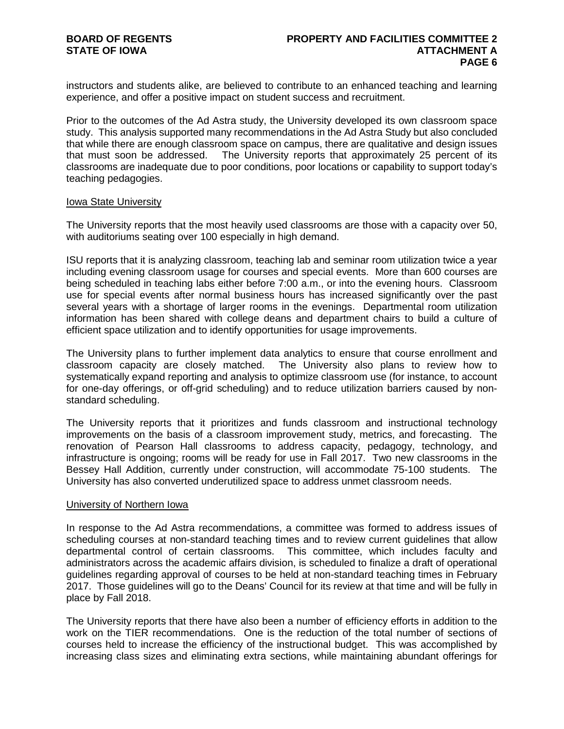instructors and students alike, are believed to contribute to an enhanced teaching and learning experience, and offer a positive impact on student success and recruitment.

Prior to the outcomes of the Ad Astra study, the University developed its own classroom space study. This analysis supported many recommendations in the Ad Astra Study but also concluded that while there are enough classroom space on campus, there are qualitative and design issues that must soon be addressed. The University reports that approximately 25 percent of its classrooms are inadequate due to poor conditions, poor locations or capability to support today's teaching pedagogies.

### Iowa State University

The University reports that the most heavily used classrooms are those with a capacity over 50, with auditoriums seating over 100 especially in high demand.

ISU reports that it is analyzing classroom, teaching lab and seminar room utilization twice a year including evening classroom usage for courses and special events. More than 600 courses are being scheduled in teaching labs either before 7:00 a.m., or into the evening hours. Classroom use for special events after normal business hours has increased significantly over the past several years with a shortage of larger rooms in the evenings. Departmental room utilization information has been shared with college deans and department chairs to build a culture of efficient space utilization and to identify opportunities for usage improvements.

The University plans to further implement data analytics to ensure that course enrollment and classroom capacity are closely matched. The University also plans to review how to systematically expand reporting and analysis to optimize classroom use (for instance, to account for one-day offerings, or off-grid scheduling) and to reduce utilization barriers caused by nonstandard scheduling.

The University reports that it prioritizes and funds classroom and instructional technology improvements on the basis of a classroom improvement study, metrics, and forecasting. The renovation of Pearson Hall classrooms to address capacity, pedagogy, technology, and infrastructure is ongoing; rooms will be ready for use in Fall 2017. Two new classrooms in the Bessey Hall Addition, currently under construction, will accommodate 75-100 students. The University has also converted underutilized space to address unmet classroom needs.

## University of Northern Iowa

In response to the Ad Astra recommendations, a committee was formed to address issues of scheduling courses at non-standard teaching times and to review current guidelines that allow departmental control of certain classrooms. This committee, which includes faculty and administrators across the academic affairs division, is scheduled to finalize a draft of operational guidelines regarding approval of courses to be held at non-standard teaching times in February 2017. Those guidelines will go to the Deans' Council for its review at that time and will be fully in place by Fall 2018.

The University reports that there have also been a number of efficiency efforts in addition to the work on the TIER recommendations. One is the reduction of the total number of sections of courses held to increase the efficiency of the instructional budget. This was accomplished by increasing class sizes and eliminating extra sections, while maintaining abundant offerings for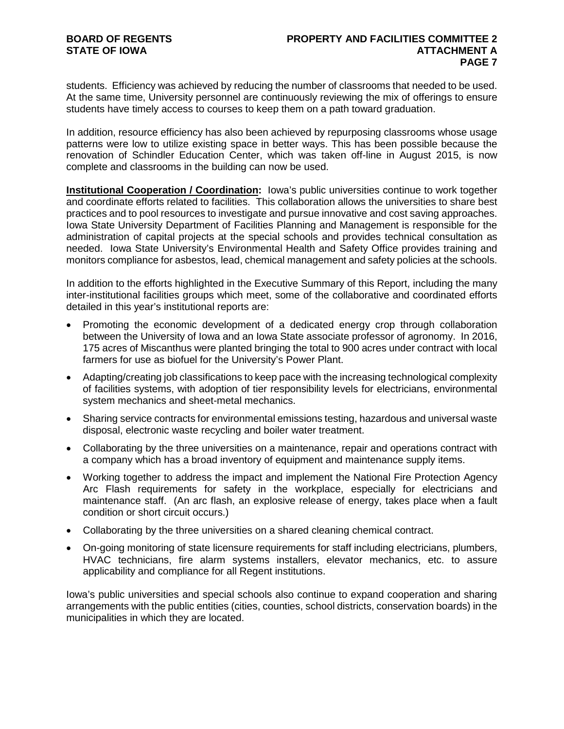students. Efficiency was achieved by reducing the number of classrooms that needed to be used. At the same time, University personnel are continuously reviewing the mix of offerings to ensure students have timely access to courses to keep them on a path toward graduation.

In addition, resource efficiency has also been achieved by repurposing classrooms whose usage patterns were low to utilize existing space in better ways. This has been possible because the renovation of Schindler Education Center, which was taken off-line in August 2015, is now complete and classrooms in the building can now be used.

**Institutional Cooperation / Coordination:** Iowa's public universities continue to work together and coordinate efforts related to facilities. This collaboration allows the universities to share best practices and to pool resources to investigate and pursue innovative and cost saving approaches. Iowa State University Department of Facilities Planning and Management is responsible for the administration of capital projects at the special schools and provides technical consultation as needed. Iowa State University's Environmental Health and Safety Office provides training and monitors compliance for asbestos, lead, chemical management and safety policies at the schools.

In addition to the efforts highlighted in the Executive Summary of this Report, including the many inter-institutional facilities groups which meet, some of the collaborative and coordinated efforts detailed in this year's institutional reports are:

- Promoting the economic development of a dedicated energy crop through collaboration between the University of Iowa and an Iowa State associate professor of agronomy. In 2016, 175 acres of Miscanthus were planted bringing the total to 900 acres under contract with local farmers for use as biofuel for the University's Power Plant.
- Adapting/creating job classifications to keep pace with the increasing technological complexity of facilities systems, with adoption of tier responsibility levels for electricians, environmental system mechanics and sheet-metal mechanics.
- Sharing service contracts for environmental emissions testing, hazardous and universal waste disposal, electronic waste recycling and boiler water treatment.
- Collaborating by the three universities on a maintenance, repair and operations contract with a company which has a broad inventory of equipment and maintenance supply items.
- Working together to address the impact and implement the National Fire Protection Agency Arc Flash requirements for safety in the workplace, especially for electricians and maintenance staff. (An arc flash, an explosive release of energy, takes place when a fault condition or short circuit occurs.)
- Collaborating by the three universities on a shared cleaning chemical contract.
- On-going monitoring of state licensure requirements for staff including electricians, plumbers, HVAC technicians, fire alarm systems installers, elevator mechanics, etc. to assure applicability and compliance for all Regent institutions.

Iowa's public universities and special schools also continue to expand cooperation and sharing arrangements with the public entities (cities, counties, school districts, conservation boards) in the municipalities in which they are located.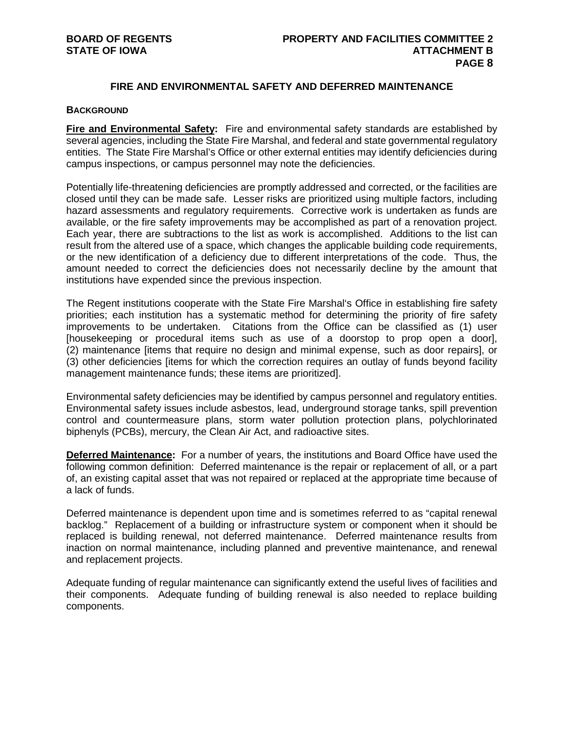## **FIRE AND ENVIRONMENTAL SAFETY AND DEFERRED MAINTENANCE**

## **BACKGROUND**

**Fire and Environmental Safety:** Fire and environmental safety standards are established by several agencies, including the State Fire Marshal, and federal and state governmental regulatory entities. The State Fire Marshal's Office or other external entities may identify deficiencies during campus inspections, or campus personnel may note the deficiencies.

Potentially life-threatening deficiencies are promptly addressed and corrected, or the facilities are closed until they can be made safe. Lesser risks are prioritized using multiple factors, including hazard assessments and regulatory requirements. Corrective work is undertaken as funds are available, or the fire safety improvements may be accomplished as part of a renovation project. Each year, there are subtractions to the list as work is accomplished. Additions to the list can result from the altered use of a space, which changes the applicable building code requirements, or the new identification of a deficiency due to different interpretations of the code. Thus, the amount needed to correct the deficiencies does not necessarily decline by the amount that institutions have expended since the previous inspection.

The Regent institutions cooperate with the State Fire Marshal's Office in establishing fire safety priorities; each institution has a systematic method for determining the priority of fire safety improvements to be undertaken. Citations from the Office can be classified as (1) user [housekeeping or procedural items such as use of a doorstop to prop open a door], (2) maintenance [items that require no design and minimal expense, such as door repairs], or (3) other deficiencies [items for which the correction requires an outlay of funds beyond facility management maintenance funds; these items are prioritized].

Environmental safety deficiencies may be identified by campus personnel and regulatory entities. Environmental safety issues include asbestos, lead, underground storage tanks, spill prevention control and countermeasure plans, storm water pollution protection plans, polychlorinated biphenyls (PCBs), mercury, the Clean Air Act, and radioactive sites.

**Deferred Maintenance:** For a number of years, the institutions and Board Office have used the following common definition: Deferred maintenance is the repair or replacement of all, or a part of, an existing capital asset that was not repaired or replaced at the appropriate time because of a lack of funds.

Deferred maintenance is dependent upon time and is sometimes referred to as "capital renewal backlog." Replacement of a building or infrastructure system or component when it should be replaced is building renewal, not deferred maintenance. Deferred maintenance results from inaction on normal maintenance, including planned and preventive maintenance, and renewal and replacement projects.

Adequate funding of regular maintenance can significantly extend the useful lives of facilities and their components. Adequate funding of building renewal is also needed to replace building components.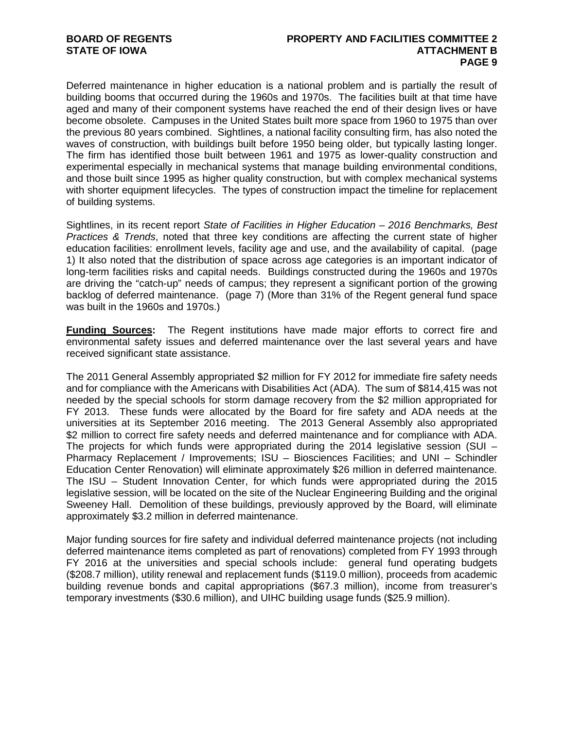Deferred maintenance in higher education is a national problem and is partially the result of building booms that occurred during the 1960s and 1970s. The facilities built at that time have aged and many of their component systems have reached the end of their design lives or have become obsolete. Campuses in the United States built more space from 1960 to 1975 than over the previous 80 years combined. Sightlines, a national facility consulting firm, has also noted the waves of construction, with buildings built before 1950 being older, but typically lasting longer. The firm has identified those built between 1961 and 1975 as lower-quality construction and experimental especially in mechanical systems that manage building environmental conditions, and those built since 1995 as higher quality construction, but with complex mechanical systems with shorter equipment lifecycles. The types of construction impact the timeline for replacement of building systems.

Sightlines, in its recent report *State of Facilities in Higher Education – 2016 Benchmarks, Best Practices & Trends*, noted that three key conditions are affecting the current state of higher education facilities: enrollment levels, facility age and use, and the availability of capital. (page 1) It also noted that the distribution of space across age categories is an important indicator of long-term facilities risks and capital needs. Buildings constructed during the 1960s and 1970s are driving the "catch-up" needs of campus; they represent a significant portion of the growing backlog of deferred maintenance. (page 7) (More than 31% of the Regent general fund space was built in the 1960s and 1970s.)

**Funding Sources:** The Regent institutions have made major efforts to correct fire and environmental safety issues and deferred maintenance over the last several years and have received significant state assistance.

The 2011 General Assembly appropriated \$2 million for FY 2012 for immediate fire safety needs and for compliance with the Americans with Disabilities Act (ADA). The sum of \$814,415 was not needed by the special schools for storm damage recovery from the \$2 million appropriated for FY 2013. These funds were allocated by the Board for fire safety and ADA needs at the universities at its September 2016 meeting. The 2013 General Assembly also appropriated \$2 million to correct fire safety needs and deferred maintenance and for compliance with ADA. The projects for which funds were appropriated during the 2014 legislative session (SUI – Pharmacy Replacement / Improvements; ISU – Biosciences Facilities; and UNI – Schindler Education Center Renovation) will eliminate approximately \$26 million in deferred maintenance. The ISU – Student Innovation Center, for which funds were appropriated during the 2015 legislative session, will be located on the site of the Nuclear Engineering Building and the original Sweeney Hall. Demolition of these buildings, previously approved by the Board, will eliminate approximately \$3.2 million in deferred maintenance.

Major funding sources for fire safety and individual deferred maintenance projects (not including deferred maintenance items completed as part of renovations) completed from FY 1993 through FY 2016 at the universities and special schools include: general fund operating budgets (\$208.7 million), utility renewal and replacement funds (\$119.0 million), proceeds from academic building revenue bonds and capital appropriations (\$67.3 million), income from treasurer's temporary investments (\$30.6 million), and UIHC building usage funds (\$25.9 million).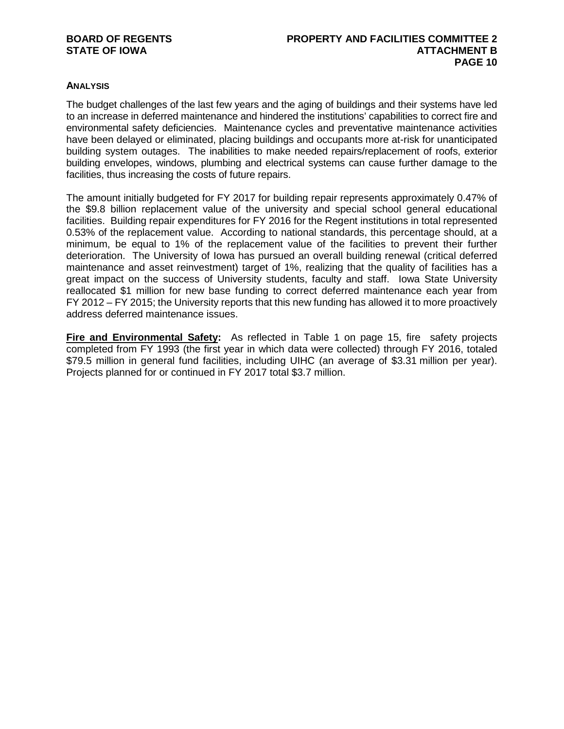# **STATE OF IOWA**

## **ANALYSIS**

The budget challenges of the last few years and the aging of buildings and their systems have led to an increase in deferred maintenance and hindered the institutions' capabilities to correct fire and environmental safety deficiencies. Maintenance cycles and preventative maintenance activities have been delayed or eliminated, placing buildings and occupants more at-risk for unanticipated building system outages. The inabilities to make needed repairs/replacement of roofs, exterior building envelopes, windows, plumbing and electrical systems can cause further damage to the facilities, thus increasing the costs of future repairs.

The amount initially budgeted for FY 2017 for building repair represents approximately 0.47% of the \$9.8 billion replacement value of the university and special school general educational facilities. Building repair expenditures for FY 2016 for the Regent institutions in total represented 0.53% of the replacement value. According to national standards, this percentage should, at a minimum, be equal to 1% of the replacement value of the facilities to prevent their further deterioration. The University of Iowa has pursued an overall building renewal (critical deferred maintenance and asset reinvestment) target of 1%, realizing that the quality of facilities has a great impact on the success of University students, faculty and staff. Iowa State University reallocated \$1 million for new base funding to correct deferred maintenance each year from FY 2012 – FY 2015; the University reports that this new funding has allowed it to more proactively address deferred maintenance issues.

**Fire and Environmental Safety:** As reflected in Table 1 on page 15, fire safety projects completed from FY 1993 (the first year in which data were collected) through FY 2016, totaled \$79.5 million in general fund facilities, including UIHC (an average of \$3.31 million per year). Projects planned for or continued in FY 2017 total \$3.7 million.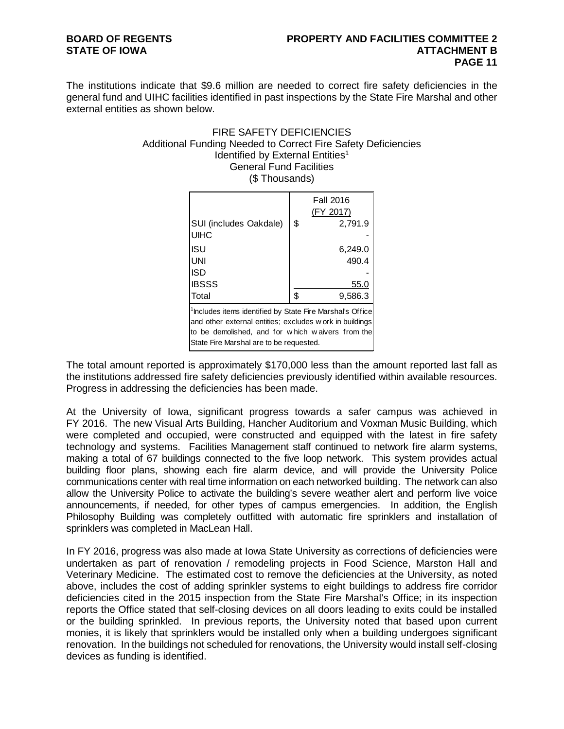# **STATE OF IOWA**

The institutions indicate that \$9.6 million are needed to correct fire safety deficiencies in the general fund and UIHC facilities identified in past inspections by the State Fire Marshal and other external entities as shown below.

## FIRE SAFETY DEFICIENCIES Additional Funding Needed to Correct Fire Safety Deficiencies Identified by External Entities<sup>1</sup> General Fund Facilities (\$ Thousands)

|                                                                                                                                                                                                                                  | <b>Fall 2016</b><br>(FY 2017) |
|----------------------------------------------------------------------------------------------------------------------------------------------------------------------------------------------------------------------------------|-------------------------------|
| SUI (includes Oakdale)<br>UIHC                                                                                                                                                                                                   | \$<br>2,791.9                 |
| ISU                                                                                                                                                                                                                              | 6,249.0                       |
| UNI                                                                                                                                                                                                                              | 490.4                         |
| ISD                                                                                                                                                                                                                              |                               |
| <b>IBSSS</b>                                                                                                                                                                                                                     | 55.0                          |
| Total                                                                                                                                                                                                                            | \$<br>9,586.3                 |
| <sup>1</sup> Includes items identified by State Fire Marshal's Office<br>and other external entities; excludes w ork in buildings<br>to be demolished, and for which waivers from the<br>State Fire Marshal are to be requested. |                               |

The total amount reported is approximately \$170,000 less than the amount reported last fall as the institutions addressed fire safety deficiencies previously identified within available resources. Progress in addressing the deficiencies has been made.

At the University of Iowa, significant progress towards a safer campus was achieved in FY 2016. The new Visual Arts Building, Hancher Auditorium and Voxman Music Building, which were completed and occupied, were constructed and equipped with the latest in fire safety technology and systems. Facilities Management staff continued to network fire alarm systems, making a total of 67 buildings connected to the five loop network. This system provides actual building floor plans, showing each fire alarm device, and will provide the University Police communications center with real time information on each networked building. The network can also allow the University Police to activate the building's severe weather alert and perform live voice announcements, if needed, for other types of campus emergencies. In addition, the English Philosophy Building was completely outfitted with automatic fire sprinklers and installation of sprinklers was completed in MacLean Hall.

In FY 2016, progress was also made at Iowa State University as corrections of deficiencies were undertaken as part of renovation / remodeling projects in Food Science, Marston Hall and Veterinary Medicine. The estimated cost to remove the deficiencies at the University, as noted above, includes the cost of adding sprinkler systems to eight buildings to address fire corridor deficiencies cited in the 2015 inspection from the State Fire Marshal's Office; in its inspection reports the Office stated that self-closing devices on all doors leading to exits could be installed or the building sprinkled. In previous reports, the University noted that based upon current monies, it is likely that sprinklers would be installed only when a building undergoes significant renovation. In the buildings not scheduled for renovations, the University would install self-closing devices as funding is identified.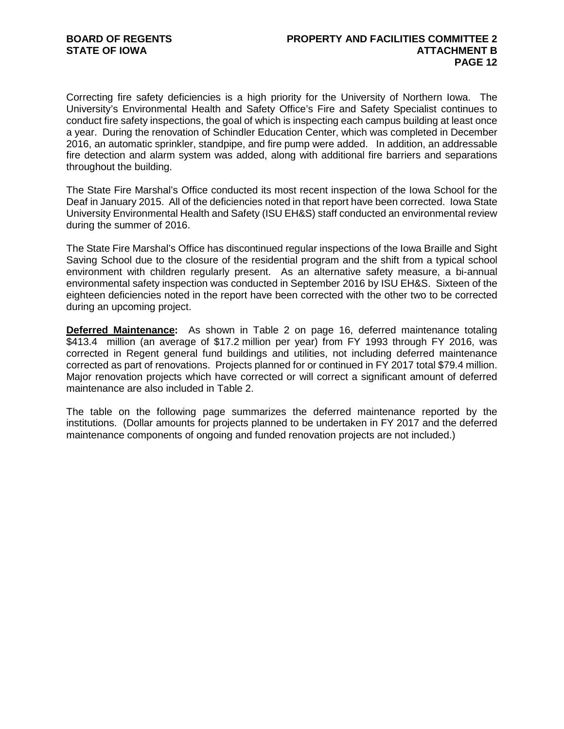Correcting fire safety deficiencies is a high priority for the University of Northern Iowa. The University's Environmental Health and Safety Office's Fire and Safety Specialist continues to conduct fire safety inspections, the goal of which is inspecting each campus building at least once a year. During the renovation of Schindler Education Center, which was completed in December 2016, an automatic sprinkler, standpipe, and fire pump were added. In addition, an addressable fire detection and alarm system was added, along with additional fire barriers and separations throughout the building.

The State Fire Marshal's Office conducted its most recent inspection of the Iowa School for the Deaf in January 2015. All of the deficiencies noted in that report have been corrected. Iowa State University Environmental Health and Safety (ISU EH&S) staff conducted an environmental review during the summer of 2016.

The State Fire Marshal's Office has discontinued regular inspections of the Iowa Braille and Sight Saving School due to the closure of the residential program and the shift from a typical school environment with children regularly present. As an alternative safety measure, a bi-annual environmental safety inspection was conducted in September 2016 by ISU EH&S. Sixteen of the eighteen deficiencies noted in the report have been corrected with the other two to be corrected during an upcoming project.

**Deferred Maintenance:** As shown in Table 2 on page 16, deferred maintenance totaling \$413.4 million (an average of \$17.2 million per year) from FY 1993 through FY 2016, was corrected in Regent general fund buildings and utilities, not including deferred maintenance corrected as part of renovations. Projects planned for or continued in FY 2017 total \$79.4 million. Major renovation projects which have corrected or will correct a significant amount of deferred maintenance are also included in Table 2.

The table on the following page summarizes the deferred maintenance reported by the institutions. (Dollar amounts for projects planned to be undertaken in FY 2017 and the deferred maintenance components of ongoing and funded renovation projects are not included.)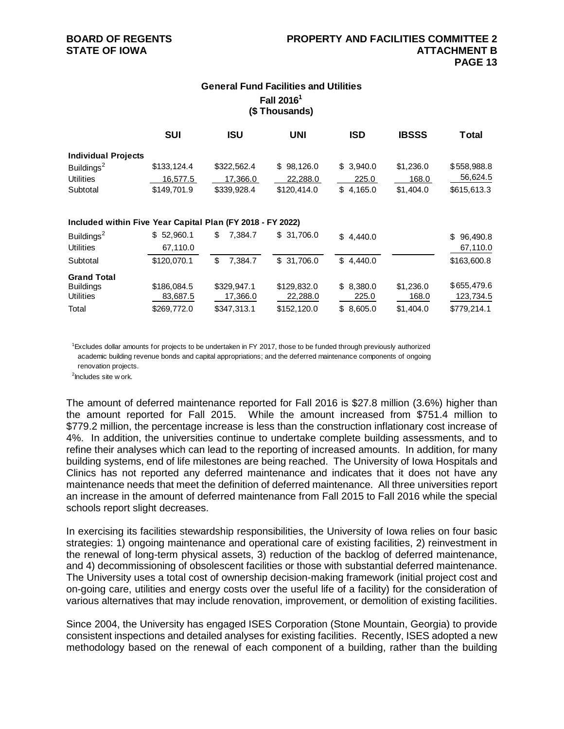# **General Fund Facilities and Utilities Fall 20161 (\$ Thousands)**

|                                                            | <b>SUI</b>  | <b>ISU</b>    | <b>UNI</b>  | <b>ISD</b> | <b>IBSSS</b> | Total       |
|------------------------------------------------------------|-------------|---------------|-------------|------------|--------------|-------------|
| <b>Individual Projects</b>                                 |             |               |             |            |              |             |
| Buildings <sup>2</sup>                                     | \$133,124.4 | \$322,562.4   | \$98,126.0  | \$3,940.0  | \$1,236.0    | \$558,988.8 |
| <b>Utilities</b>                                           | 16,577.5    | 17,366.0      | 22,288.0    | 225.0      | 168.0        | 56,624.5    |
| Subtotal                                                   | \$149,701.9 | \$339,928.4   | \$120,414.0 | \$4,165.0  | \$1,404.0    | \$615,613.3 |
| Included within Five Year Capital Plan (FY 2018 - FY 2022) |             |               |             |            |              |             |
| Buildings <sup>2</sup>                                     | \$52,960.1  | \$<br>7,384.7 | \$31,706.0  | \$4,440.0  |              | \$96,490.8  |
| <b>Utilities</b>                                           | 67,110.0    |               |             |            |              | 67,110.0    |
| Subtotal                                                   | \$120,070.1 | \$<br>7,384.7 | \$31,706.0  | \$4,440.0  |              | \$163,600.8 |
| <b>Grand Total</b>                                         |             |               |             |            |              |             |
| <b>Buildings</b>                                           | \$186,084.5 | \$329.947.1   | \$129,832.0 | \$8,380.0  | \$1,236.0    | \$655,479.6 |
| <b>Utilities</b>                                           | 83,687.5    | 17,366.0      | 22,288.0    | 225.0      | 168.0        | 123,734.5   |
| Total                                                      | \$269,772.0 | \$347,313.1   | \$152,120.0 | \$8,605.0  | \$1,404.0    | \$779,214.1 |

 1 Excludes dollar amounts for projects to be undertaken in FY 2017, those to be funded through previously authorized academic building revenue bonds and capital appropriations; and the deferred maintenance components of ongoing renovation projects.

<sup>2</sup> Includes site w ork.

The amount of deferred maintenance reported for Fall 2016 is \$27.8 million (3.6%) higher than the amount reported for Fall 2015. While the amount increased from \$751.4 million to \$779.2 million, the percentage increase is less than the construction inflationary cost increase of 4%. In addition, the universities continue to undertake complete building assessments, and to refine their analyses which can lead to the reporting of increased amounts. In addition, for many building systems, end of life milestones are being reached. The University of Iowa Hospitals and Clinics has not reported any deferred maintenance and indicates that it does not have any maintenance needs that meet the definition of deferred maintenance. All three universities report an increase in the amount of deferred maintenance from Fall 2015 to Fall 2016 while the special schools report slight decreases.

In exercising its facilities stewardship responsibilities, the University of Iowa relies on four basic strategies: 1) ongoing maintenance and operational care of existing facilities, 2) reinvestment in the renewal of long-term physical assets, 3) reduction of the backlog of deferred maintenance, and 4) decommissioning of obsolescent facilities or those with substantial deferred maintenance. The University uses a total cost of ownership decision-making framework (initial project cost and on-going care, utilities and energy costs over the useful life of a facility) for the consideration of various alternatives that may include renovation, improvement, or demolition of existing facilities.

Since 2004, the University has engaged ISES Corporation (Stone Mountain, Georgia) to provide consistent inspections and detailed analyses for existing facilities. Recently, ISES adopted a new methodology based on the renewal of each component of a building, rather than the building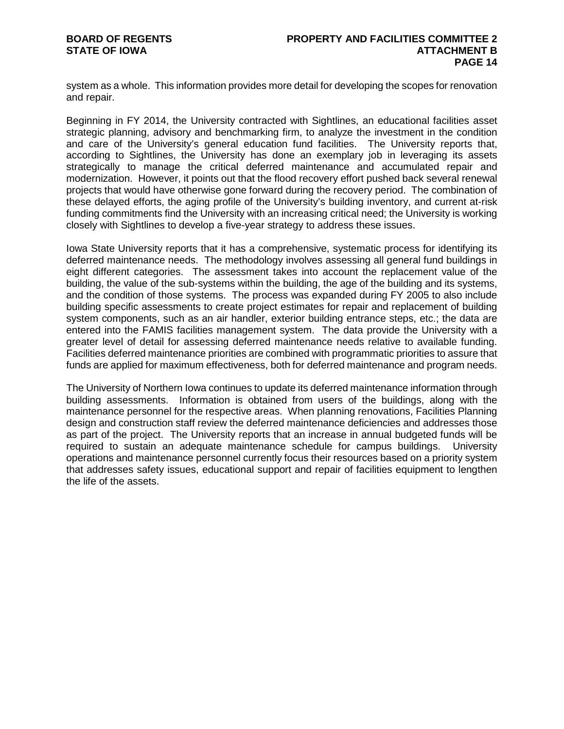system as a whole. This information provides more detail for developing the scopes for renovation and repair.

Beginning in FY 2014, the University contracted with Sightlines, an educational facilities asset strategic planning, advisory and benchmarking firm, to analyze the investment in the condition and care of the University's general education fund facilities. The University reports that, according to Sightlines, the University has done an exemplary job in leveraging its assets strategically to manage the critical deferred maintenance and accumulated repair and modernization. However, it points out that the flood recovery effort pushed back several renewal projects that would have otherwise gone forward during the recovery period. The combination of these delayed efforts, the aging profile of the University's building inventory, and current at-risk funding commitments find the University with an increasing critical need; the University is working closely with Sightlines to develop a five-year strategy to address these issues.

Iowa State University reports that it has a comprehensive, systematic process for identifying its deferred maintenance needs. The methodology involves assessing all general fund buildings in eight different categories. The assessment takes into account the replacement value of the building, the value of the sub-systems within the building, the age of the building and its systems, and the condition of those systems. The process was expanded during FY 2005 to also include building specific assessments to create project estimates for repair and replacement of building system components, such as an air handler, exterior building entrance steps, etc.; the data are entered into the FAMIS facilities management system. The data provide the University with a greater level of detail for assessing deferred maintenance needs relative to available funding. Facilities deferred maintenance priorities are combined with programmatic priorities to assure that funds are applied for maximum effectiveness, both for deferred maintenance and program needs.

The University of Northern Iowa continues to update its deferred maintenance information through building assessments. Information is obtained from users of the buildings, along with the maintenance personnel for the respective areas. When planning renovations, Facilities Planning design and construction staff review the deferred maintenance deficiencies and addresses those as part of the project. The University reports that an increase in annual budgeted funds will be required to sustain an adequate maintenance schedule for campus buildings. University operations and maintenance personnel currently focus their resources based on a priority system that addresses safety issues, educational support and repair of facilities equipment to lengthen the life of the assets.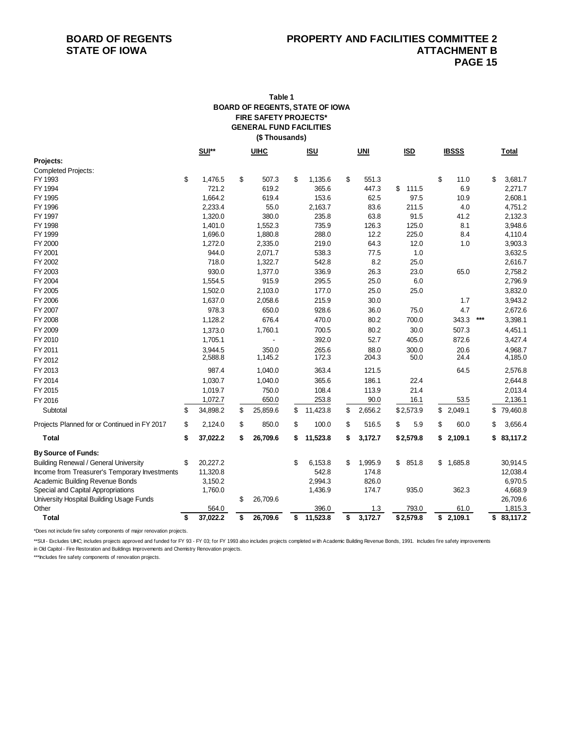### **FIRE SAFETY PROJECTS\* GENERAL FUND FACILITIES (\$ Thousands) Table 1 BOARD OF REGENTS, STATE OF IOWA**

|                                               | <b>SUI**</b><br><b>UIHC</b> |    | <u>ISU</u> |                | $UNI$ | <b>ISD</b> |    | <b>IBSSS</b> |    |           |       | Total |            |
|-----------------------------------------------|-----------------------------|----|------------|----------------|-------|------------|----|--------------|----|-----------|-------|-------|------------|
| Projects:                                     |                             |    |            |                |       |            |    |              |    |           |       |       |            |
| <b>Completed Projects:</b>                    |                             |    |            |                |       |            |    |              |    |           |       |       |            |
| FY 1993                                       | \$<br>1,476.5               | \$ | 507.3      | \$<br>1,135.6  | \$    | 551.3      |    |              | \$ | 11.0      |       | \$    | 3,681.7    |
| FY 1994                                       | 721.2                       |    | 619.2      | 365.6          |       | 447.3      | \$ | 111.5        |    | 6.9       |       |       | 2,271.7    |
| FY 1995                                       | 1,664.2                     |    | 619.4      | 153.6          |       | 62.5       |    | 97.5         |    | 10.9      |       |       | 2,608.1    |
| FY 1996                                       | 2,233.4                     |    | 55.0       | 2,163.7        |       | 83.6       |    | 211.5        |    | 4.0       |       |       | 4,751.2    |
| FY 1997                                       | 1,320.0                     |    | 380.0      | 235.8          |       | 63.8       |    | 91.5         |    | 41.2      |       |       | 2,132.3    |
| FY 1998                                       | 1,401.0                     |    | 1,552.3    | 735.9          |       | 126.3      |    | 125.0        |    | 8.1       |       |       | 3,948.6    |
| FY 1999                                       | 1,696.0                     |    | 1,880.8    | 288.0          |       | 12.2       |    | 225.0        |    | 8.4       |       |       | 4,110.4    |
| FY 2000                                       | 1,272.0                     |    | 2,335.0    | 219.0          |       | 64.3       |    | 12.0         |    | 1.0       |       |       | 3,903.3    |
| FY 2001                                       | 944.0                       |    | 2,071.7    | 538.3          |       | 77.5       |    | 1.0          |    |           |       |       | 3,632.5    |
| FY 2002                                       | 718.0                       |    | 1,322.7    | 542.8          |       | 8.2        |    | 25.0         |    |           |       |       | 2,616.7    |
| FY 2003                                       | 930.0                       |    | 1,377.0    | 336.9          |       | 26.3       |    | 23.0         |    | 65.0      |       |       | 2,758.2    |
| FY 2004                                       | 1,554.5                     |    | 915.9      | 295.5          |       | 25.0       |    | 6.0          |    |           |       |       | 2,796.9    |
| FY 2005                                       | 1,502.0                     |    | 2,103.0    | 177.0          |       | 25.0       |    | 25.0         |    |           |       |       | 3,832.0    |
| FY 2006                                       | 1,637.0                     |    | 2,058.6    | 215.9          |       | 30.0       |    |              |    | 1.7       |       |       | 3,943.2    |
| FY 2007                                       | 978.3                       |    | 650.0      | 928.6          |       | 36.0       |    | 75.0         |    | 4.7       |       |       | 2,672.6    |
| FY 2008                                       | 1,128.2                     |    | 676.4      | 470.0          |       | 80.2       |    | 700.0        |    | 343.3     | $***$ |       | 3,398.1    |
| FY 2009                                       | 1,373.0                     |    | 1,760.1    | 700.5          |       | 80.2       |    | 30.0         |    | 507.3     |       |       | 4,451.1    |
| FY 2010                                       | 1,705.1                     |    |            | 392.0          |       | 52.7       |    | 405.0        |    | 872.6     |       |       | 3,427.4    |
| FY 2011                                       | 3,944.5                     |    | 350.0      | 265.6          |       | 88.0       |    | 300.0        |    | 20.6      |       |       | 4,968.7    |
| FY 2012                                       | 2,588.8                     |    | 1,145.2    | 172.3          |       | 204.3      |    | 50.0         |    | 24.4      |       |       | 4,185.0    |
| FY 2013                                       | 987.4                       |    | 1,040.0    | 363.4          |       | 121.5      |    |              |    | 64.5      |       |       | 2,576.8    |
| FY 2014                                       | 1,030.7                     |    | 1,040.0    | 365.6          |       | 186.1      |    | 22.4         |    |           |       |       | 2,644.8    |
| FY 2015                                       | 1,019.7                     |    | 750.0      | 108.4          |       | 113.9      |    | 21.4         |    |           |       |       | 2,013.4    |
| FY 2016                                       | 1,072.7                     |    | 650.0      | 253.8          |       | 90.0       |    | 16.1         |    | 53.5      |       |       | 2,136.1    |
| Subtotal                                      | \$<br>34,898.2              | \$ | 25,859.6   | \$<br>11,423.8 | \$    | 2,656.2    |    | \$2,573.9    |    | \$2,049.1 |       | \$    | 79,460.8   |
| Projects Planned for or Continued in FY 2017  | \$<br>2,124.0               | \$ | 850.0      | \$<br>100.0    | \$    | 516.5      | \$ | 5.9          | \$ | 60.0      |       | \$    | 3,656.4    |
| <b>Total</b>                                  | \$<br>37,022.2              | \$ | 26,709.6   | \$<br>11,523.8 | \$    | 3,172.7    |    | \$2,579.8    | \$ | 2,109.1   |       | \$    | 83,117.2   |
| <b>By Source of Funds:</b>                    |                             |    |            |                |       |            |    |              |    |           |       |       |            |
| <b>Building Renewal / General University</b>  | \$<br>20,227.2              |    |            | \$<br>6,153.8  | \$    | 1,995.9    | \$ | 851.8        | \$ | 1,685.8   |       |       | 30,914.5   |
| Income from Treasurer's Temporary Investments | 11,320.8                    |    |            | 542.8          |       | 174.8      |    |              |    |           |       |       | 12,038.4   |
| Academic Building Revenue Bonds               | 3,150.2                     |    |            | 2,994.3        |       | 826.0      |    |              |    |           |       |       | 6,970.5    |
| Special and Capital Appropriations            | 1,760.0                     |    |            | 1,436.9        |       | 174.7      |    | 935.0        |    | 362.3     |       |       | 4,668.9    |
| University Hospital Building Usage Funds      |                             | \$ | 26,709.6   |                |       |            |    |              |    |           |       |       | 26,709.6   |
| Other                                         | 564.0                       |    |            | 396.0          |       | 1.3        |    | 793.0        |    | 61.0      |       |       | 1,815.3    |
| <b>Total</b>                                  | \$<br>37,022.2              | \$ | 26,709.6   | \$<br>11,523.8 | \$    | 3,172.7    |    | \$2,579.8    |    | \$2,109.1 |       |       | \$83,117.2 |

\*Does not include fire safety components of major renovation projects.

\*\*SUI - Excludes UIHC; includes projects approved and funded for FY 93 - FY 03; for FY 1993 also includes projects completed w ith Academic Building Revenue Bonds, 1991. Includes fire safety improvements in Old Capitol - Fire Restoration and Buildings Improvements and Chemistry Renovation projects.

\*\*\*Includes fire safety components of renovation projects.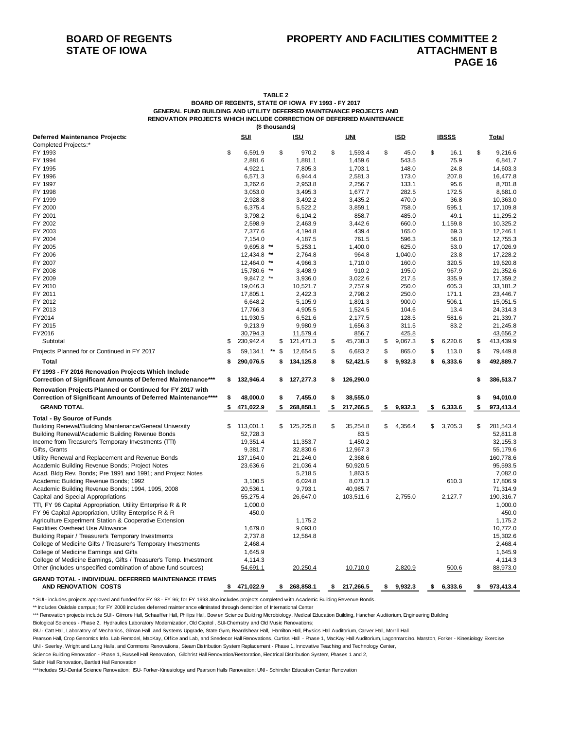**TABLE 2**

**BOARD OF REGENTS, STATE OF IOWA FY 1993 - FY 2017 GENERAL FUND BUILDING AND UTILITY DEFERRED MAINTENANCE PROJECTS AND RENOVATION PROJECTS WHICH INCLUDE CORRECTION OF DEFERRED MAINTENANCE (\$ thousands)**

| Deferred Maintenance Projects:<br><b>Completed Projects:*</b>                                                              |          | <u>SUI</u>            |          | <b>ISU</b>            |          | <b>UNI</b>          |          | <b>ISD</b>       |          | <b>IBSSS</b>     |          | <b>Total</b>          |
|----------------------------------------------------------------------------------------------------------------------------|----------|-----------------------|----------|-----------------------|----------|---------------------|----------|------------------|----------|------------------|----------|-----------------------|
| FY 1993                                                                                                                    | \$       | 6,591.9               | \$       | 970.2                 | \$       | 1,593.4             | \$       | 45.0             | \$       | 16.1             | \$       | 9,216.6               |
| FY 1994                                                                                                                    |          | 2,881.6               |          | 1,881.1               |          | 1,459.6             |          | 543.5            |          | 75.9             |          | 6,841.7               |
| FY 1995                                                                                                                    |          | 4,922.1               |          | 7,805.3               |          | 1,703.1             |          | 148.0            |          | 24.8             |          | 14,603.3              |
| FY 1996                                                                                                                    |          | 6,571.3               |          | 6,944.4               |          | 2,581.3             |          | 173.0            |          | 207.8            |          | 16,477.8              |
| FY 1997                                                                                                                    |          | 3,262.6               |          | 2,953.8               |          | 2,256.7             |          | 133.1            |          | 95.6             |          | 8,701.8               |
| FY 1998                                                                                                                    |          | 3,053.0               |          | 3,495.3               |          | 1,677.7             |          | 282.5            |          | 172.5            |          | 8,681.0               |
| FY 1999                                                                                                                    |          | 2,928.8               |          | 3,492.2               |          | 3,435.2             |          | 470.0            |          | 36.8             |          | 10,363.0              |
| FY 2000                                                                                                                    |          | 6,375.4               |          | 5,522.2               |          | 3,859.1             |          | 758.0            |          | 595.1            |          | 17,109.8              |
| FY 2001                                                                                                                    |          | 3,798.2               |          | 6,104.2               |          | 858.7               |          | 485.0            |          | 49.1             |          | 11,295.2              |
| FY 2002                                                                                                                    |          | 2,598.9               |          | 2,463.9               |          | 3,442.6             |          | 660.0            |          | 1,159.8          |          | 10,325.2              |
| FY 2003                                                                                                                    |          | 7,377.6               |          | 4,194.8               |          | 439.4               |          | 165.0            |          | 69.3             |          | 12,246.1              |
| FY 2004                                                                                                                    |          | 7,154.0               |          | 4,187.5               |          | 761.5               |          | 596.3            |          | 56.0             |          | 12,755.3              |
| FY 2005                                                                                                                    |          | 9,695.8 **            |          | 5,253.1               |          | 1,400.0             |          | 625.0            |          | 53.0             |          | 17,026.9              |
| FY 2006                                                                                                                    |          | 12,434.8 **           |          | 2,764.8               |          | 964.8               |          | 1,040.0          |          | 23.8             |          | 17,228.2              |
| FY 2007                                                                                                                    |          | 12,464.0 **           |          | 4,966.3               |          | 1,710.0             |          | 160.0            |          | 320.5            |          | 19,620.8              |
| FY 2008                                                                                                                    |          | 15,780.6 **           |          | 3,498.9               |          | 910.2               |          | 195.0            |          | 967.9            |          | 21,352.6              |
| FY 2009                                                                                                                    |          | 9,847.2 **            |          | 3,936.0               |          | 3,022.6             |          | 217.5            |          | 335.9            |          | 17,359.2              |
| FY 2010                                                                                                                    |          | 19,046.3              |          | 10,521.7              |          | 2,757.9             |          | 250.0            |          | 605.3            |          | 33, 181.2             |
| FY 2011                                                                                                                    |          | 17,805.1              |          | 2,422.3               |          | 2,798.2             |          | 250.0            |          | 171.1            |          | 23,446.7              |
| FY 2012                                                                                                                    |          | 6,648.2               |          | 5,105.9               |          | 1,891.3             |          | 900.0            |          | 506.1            |          | 15,051.5              |
| FY 2013                                                                                                                    |          | 17,766.3              |          | 4,905.5               |          | 1,524.5             |          | 104.6            |          | 13.4             |          | 24,314.3              |
| FY2014                                                                                                                     |          | 11,930.5              |          | 6,521.6               |          | 2,177.5             |          | 128.5            |          | 581.6            |          | 21,339.7              |
| FY 2015                                                                                                                    |          | 9,213.9               |          | 9,980.9               |          | 1,656.3             |          | 311.5            |          | 83.2             |          | 21,245.8              |
| FY2016                                                                                                                     |          | 30,794.3              |          | 11,579.4              |          | 856.7               |          | 425.8            |          |                  |          | 43,656.2              |
| Subtotal<br>Projects Planned for or Continued in FY 2017                                                                   | \$<br>\$ | 230,942.4<br>59,134.1 | \$<br>\$ | 121,471.3<br>12,654.5 | \$<br>\$ | 45,738.3<br>6,683.2 | \$<br>\$ | 9,067.3<br>865.0 | \$<br>\$ | 6,220.6<br>113.0 | \$<br>\$ | 413,439.9<br>79,449.8 |
| Total                                                                                                                      | \$       | 290,076.5             | \$       | 134,125.8             | \$       | 52,421.5            | \$       | 9,932.3          | \$       | 6,333.6          | \$       | 492,889.7             |
| FY 1993 - FY 2016 Renovation Projects Which Include                                                                        |          |                       |          |                       |          |                     |          |                  |          |                  |          |                       |
| Correction of Significant Amounts of Deferred Maintenance***                                                               | \$       | 132,946.4             | \$       | 127,277.3             | \$       | 126,290.0           |          |                  |          |                  | \$       | 386,513.7             |
| Renovation Projects Planned or Continued for FY 2017 with<br>Correction of Significant Amounts of Deferred Maintenance**** | \$       | 48,000.0              | \$       | 7,455.0               | \$       | 38,555.0            |          |                  |          |                  | \$       | 94,010.0              |
| <b>GRAND TOTAL</b>                                                                                                         | \$       | 471,022.9             | \$       | 268,858.1             | \$       | 217,266.5           | \$       | 9,932.3          | \$       | 6,333.6          | \$       | 973,413.4             |
| <b>Total - By Source of Funds</b>                                                                                          |          |                       |          |                       |          |                     |          |                  |          |                  |          |                       |
| Building Renewal/Building Maintenance/General University                                                                   | S        | 113,001.1             | \$       | 125,225.8             | \$       | 35,254.8            | \$       | 4,356.4          | \$       | 3,705.3          | \$       | 281,543.4             |
| Building Renewal/Academic Building Revenue Bonds                                                                           |          | 52,728.3              |          |                       |          | 83.5                |          |                  |          |                  |          | 52,811.8              |
| Income from Treasurer's Temporary Investments (TTI)                                                                        |          | 19,351.4              |          | 11,353.7              |          | 1,450.2             |          |                  |          |                  |          | 32,155.3              |
| Gifts, Grants                                                                                                              |          | 9,381.7               |          | 32,830.6              |          | 12,967.3            |          |                  |          |                  |          | 55,179.6              |
| Utility Renewal and Replacement and Revenue Bonds                                                                          |          | 137, 164.0            |          | 21,246.0              |          | 2,368.6             |          |                  |          |                  |          | 160,778.6             |
| Academic Building Revenue Bonds; Project Notes                                                                             |          | 23,636.6              |          | 21,036.4              |          | 50,920.5            |          |                  |          |                  |          | 95,593.5              |
| Acad. Bldg Rev. Bonds; Pre 1991 and 1991; and Project Notes                                                                |          |                       |          | 5,218.5               |          | 1,863.5             |          |                  |          |                  |          | 7,082.0               |
| Academic Building Revenue Bonds; 1992                                                                                      |          | 3,100.5               |          | 6,024.8               |          | 8,071.3             |          |                  |          | 610.3            |          | 17,806.9              |
| Academic Building Revenue Bonds; 1994, 1995, 2008                                                                          |          | 20,536.1              |          | 9,793.1               |          | 40,985.7            |          |                  |          |                  |          | 71,314.9              |
| Capital and Special Appropriations                                                                                         |          | 55,275.4              |          | 26,647.0              |          | 103,511.6           |          | 2,755.0          |          | 2,127.7          |          | 190,316.7             |
| TTI, FY 96 Capital Appropriation, Utility Enterprise R & R                                                                 |          | 1,000.0               |          |                       |          |                     |          |                  |          |                  |          | 1,000.0               |
| FY 96 Capital Appropriation, Utility Enterprise R & R                                                                      |          | 450.0                 |          |                       |          |                     |          |                  |          |                  |          | 450.0                 |
| Agriculture Experiment Station & Cooperative Extension                                                                     |          |                       |          | 1,175.2               |          |                     |          |                  |          |                  |          | 1,175.2               |
| Facilities Overhead Use Allowance                                                                                          |          | 1,679.0               |          | 9,093.0               |          |                     |          |                  |          |                  |          | 10,772.0              |
| Building Repair / Treasurer's Temporary Investments                                                                        |          | 2,737.8               |          | 12,564.8              |          |                     |          |                  |          |                  |          | 15,302.6              |
| College of Medicine Gifts / Treasurer's Temporary Investments                                                              |          | 2,468.4               |          |                       |          |                     |          |                  |          |                  |          | 2,468.4               |
| College of Medicine Earnings and Gifts<br>College of Medicine Earnings, Gifts / Treasurer's Temp. Investment               |          | 1,645.9<br>4,114.3    |          |                       |          |                     |          |                  |          |                  |          | 1,645.9<br>4,114.3    |
| Other (includes unspecified combination of above fund sources)                                                             |          | 54,691.1              |          | 20,250.4              |          | 10,710.0            |          | 2,820.9          |          | 500.6            |          | 88,973.0              |
|                                                                                                                            |          |                       |          |                       |          |                     |          |                  |          |                  |          |                       |
| <b>GRAND TOTAL - INDIVIDUAL DEFERRED MAINTENANCE ITEMS</b><br>AND RENOVATION COSTS                                         | \$       | 471,022.9             | \$       | 268,858.1             | \$       | 217,266.5           | S        | 9,932.3          | \$       | 6,333.6          | \$       | 973,413.4             |

\* SUI - includes projects approved and funded for FY 93 - FY 96; for FY 1993 also includes projects completed w ith Academic Building Revenue Bonds.

\*\* Includes Oakdale campus; for FY 2008 includes deferred maintenance eliminated through demolition of International Center

\*\*\* Renovation projects include SUI - Gilmore Hall, Schaeffer Hall, Phillips Hall, Bow en Science Building Microbiology, Medical Education Building, Hancher Auditorium, Engineering Building,

Biological Sciences - Phase 2, Hydraulics Laboratory Modernization, Old Capitol , SUI-Chemistry and Old Music Renovations;

ISU - Catt Hall, Laboratory of Mechanics, Gilman Hall and Systems Upgrade, State Gym, Beardshear Hall, Hamilton Hall, Physics Hall Auditorium, Carver Hall, Morrill Hall

Pearson Hall, Crop Genomics Info. Lab Remodel, MacKay, Office and Lab, and Snedecor Hall Renovations, Curtiss Hall - Phase 1, MacKay Hall Auditorium, Lagonmarcino. Marston, Forker - Kinesiology Exercise UNI - Seerley, Wright and Lang Halls, and Commons Renovations, Steam Distribution System Replacement - Phase 1, Innovative Teaching and Technology Center,

Science Building Renovation - Phase 1, Russell Hall Renovation, Gilchrist Hall Renovation/Restoration, Electrical Distribution System, Phases 1 and 2,

Sabin Hall Renovation, Bartlett Hall Renovation

\*\*\*Includes SUI-Dental Science Renovation; ISU- Forker-Kinesiology and Pearson Halls Renovation; UNI - Schindler Education Center Renovation